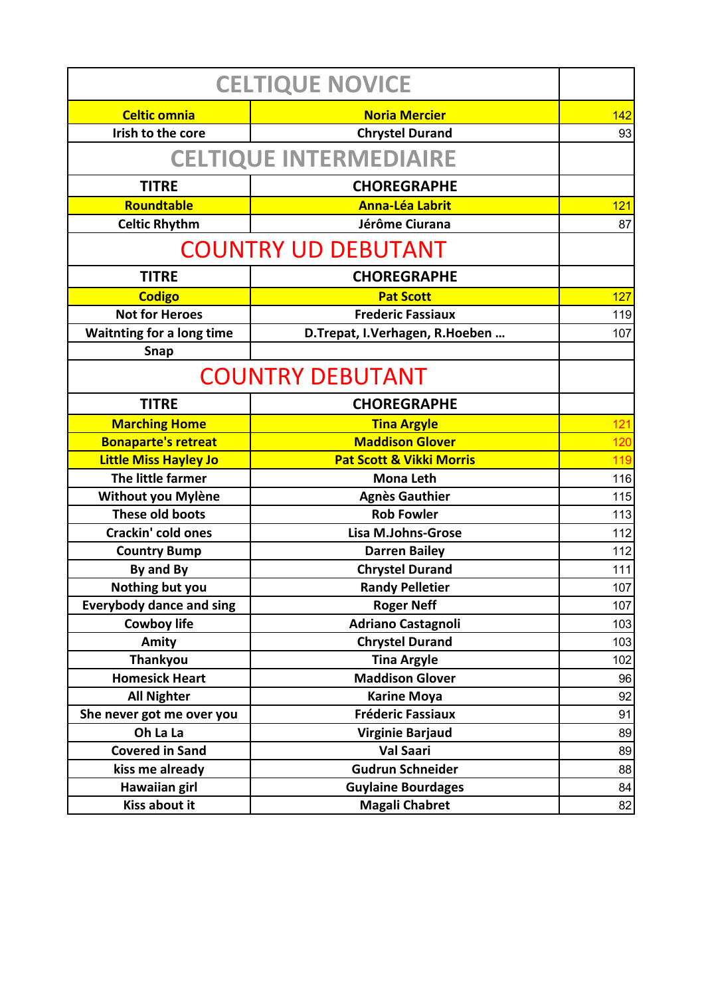| <b>CELTIQUE NOVICE</b>           |                                     |     |  |
|----------------------------------|-------------------------------------|-----|--|
| <b>Celtic omnia</b>              | <b>Noria Mercier</b>                | 142 |  |
| Irish to the core                | <b>Chrystel Durand</b>              | 93  |  |
| <b>CELTIQUE INTERMEDIAIRE</b>    |                                     |     |  |
| <b>TITRE</b>                     | <b>CHOREGRAPHE</b>                  |     |  |
| Roundtable                       | <b>Anna-Léa Labrit</b>              | 121 |  |
| <b>Celtic Rhythm</b>             | Jérôme Ciurana                      | 87  |  |
| <b>COUNTRY UD DEBUTANT</b>       |                                     |     |  |
| <b>TITRE</b>                     | <b>CHOREGRAPHE</b>                  |     |  |
| <b>Codigo</b>                    | <b>Pat Scott</b>                    | 127 |  |
| <b>Not for Heroes</b>            | <b>Frederic Fassiaux</b>            | 119 |  |
| <b>Waitnting for a long time</b> | D.Trepat, I.Verhagen, R.Hoeben      | 107 |  |
| Snap                             |                                     |     |  |
| <b>COUNTRY DEBUTANT</b>          |                                     |     |  |
| <b>TITRE</b>                     | <b>CHOREGRAPHE</b>                  |     |  |
| <b>Marching Home</b>             | <b>Tina Argyle</b>                  | 121 |  |
| <b>Bonaparte's retreat</b>       | <b>Maddison Glover</b>              | 120 |  |
| <b>Little Miss Hayley Jo</b>     | <b>Pat Scott &amp; Vikki Morris</b> | 119 |  |
| The little farmer                | <b>Mona Leth</b>                    | 116 |  |
| Without you Mylène               | <b>Agnès Gauthier</b>               | 115 |  |
| These old boots                  | <b>Rob Fowler</b>                   | 113 |  |
| Crackin' cold ones               | <b>Lisa M.Johns-Grose</b>           | 112 |  |
| <b>Country Bump</b>              | <b>Darren Bailey</b>                | 112 |  |
| By and By                        | <b>Chrystel Durand</b>              | 111 |  |
| Nothing but you                  | <b>Randy Pelletier</b>              | 107 |  |
| <b>Everybody dance and sing</b>  | <b>Roger Neff</b>                   | 107 |  |
| <b>Cowboy life</b>               | <b>Adriano Castagnoli</b>           | 103 |  |
| Amity                            | <b>Chrystel Durand</b>              | 103 |  |
| Thankyou                         | <b>Tina Argyle</b>                  | 102 |  |
| <b>Homesick Heart</b>            | <b>Maddison Glover</b>              | 96  |  |
| <b>All Nighter</b>               | <b>Karine Moya</b>                  | 92  |  |
| She never got me over you        | <b>Fréderic Fassiaux</b>            | 91  |  |
| Oh La La                         | <b>Virginie Barjaud</b>             | 89  |  |
| <b>Covered in Sand</b>           | <b>Val Saari</b>                    | 89  |  |
| kiss me already                  | <b>Gudrun Schneider</b>             | 88  |  |
| <b>Hawaiian girl</b>             | <b>Guylaine Bourdages</b>           | 84  |  |
| Kiss about it                    | <b>Magali Chabret</b>               | 82  |  |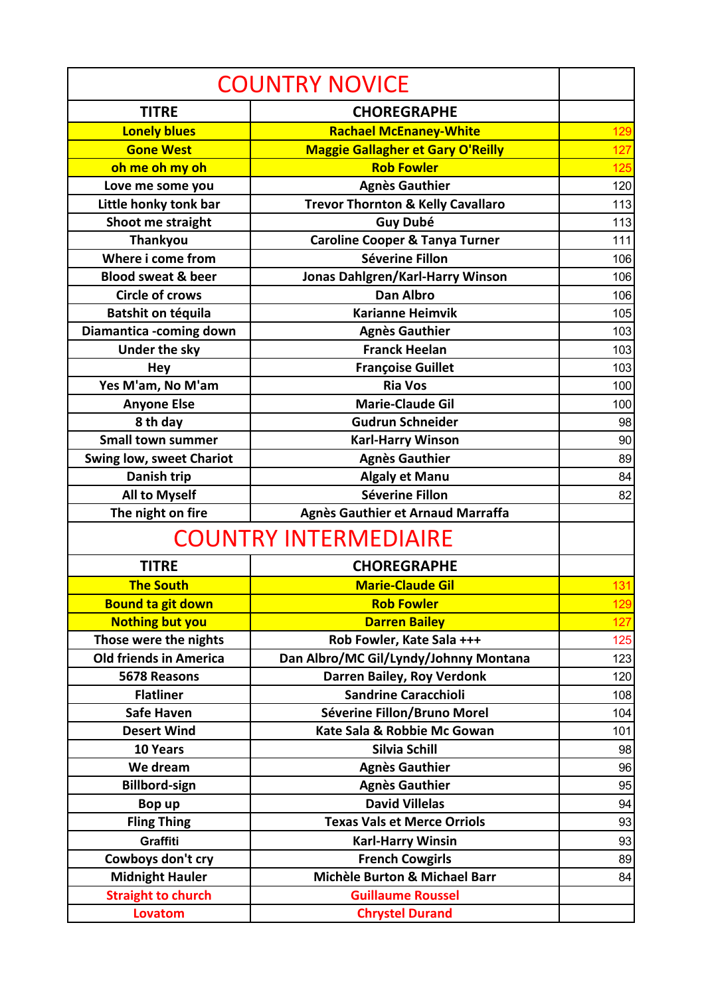| <b>COUNTRY NOVICE</b>           |                                              |     |
|---------------------------------|----------------------------------------------|-----|
| <b>TITRE</b>                    | <b>CHOREGRAPHE</b>                           |     |
| <b>Lonely blues</b>             | <b>Rachael McEnaney-White</b>                | 129 |
| <b>Gone West</b>                | <b>Maggie Gallagher et Gary O'Reilly</b>     | 127 |
| oh me oh my oh                  | <b>Rob Fowler</b>                            | 125 |
| Love me some you                | <b>Agnès Gauthier</b>                        | 120 |
| Little honky tonk bar           | <b>Trevor Thornton &amp; Kelly Cavallaro</b> | 113 |
| Shoot me straight               | <b>Guy Dubé</b>                              | 113 |
| <b>Thankyou</b>                 | <b>Caroline Cooper &amp; Tanya Turner</b>    | 111 |
| Where i come from               | Séverine Fillon                              | 106 |
| <b>Blood sweat &amp; beer</b>   | Jonas Dahlgren/Karl-Harry Winson             | 106 |
| <b>Circle of crows</b>          | <b>Dan Albro</b>                             | 106 |
| Batshit on téquila              | <b>Karianne Heimvik</b>                      | 105 |
| Diamantica -coming down         | <b>Agnès Gauthier</b>                        | 103 |
| <b>Under the sky</b>            | <b>Franck Heelan</b>                         | 103 |
| <b>Hey</b>                      | <b>Françoise Guillet</b>                     | 103 |
| Yes M'am, No M'am               | <b>Ria Vos</b>                               | 100 |
| <b>Anyone Else</b>              | <b>Marie-Claude Gil</b>                      | 100 |
| 8 th day                        | <b>Gudrun Schneider</b>                      | 98  |
| <b>Small town summer</b>        | <b>Karl-Harry Winson</b>                     | 90  |
| <b>Swing low, sweet Chariot</b> | <b>Agnès Gauthier</b>                        | 89  |
| Danish trip                     | <b>Algaly et Manu</b>                        | 84  |
| <b>All to Myself</b>            | Séverine Fillon                              | 82  |
| The night on fire               | Agnès Gauthier et Arnaud Marraffa            |     |
| <b>COUNTRY INTERMEDIAIRE</b>    |                                              |     |
| <b>TITRE</b>                    | <b>CHOREGRAPHE</b>                           |     |
| <b>The South</b>                | <b>Marie-Claude Gil</b>                      | 131 |
| <b>Bound ta git down</b>        | <b>Rob Fowler</b>                            | 129 |
| <b>Nothing but you</b>          | <b>Darren Bailey</b>                         | 127 |
| Those were the nights           | Rob Fowler, Kate Sala +++                    | 125 |
| <b>Old friends in America</b>   | Dan Albro/MC Gil/Lyndy/Johnny Montana        | 123 |
| 5678 Reasons                    | Darren Bailey, Roy Verdonk                   | 120 |
| <b>Flatliner</b>                | <b>Sandrine Caracchioli</b>                  | 108 |
| <b>Safe Haven</b>               | Séverine Fillon/Bruno Morel                  | 104 |
| <b>Desert Wind</b>              | Kate Sala & Robbie Mc Gowan                  | 101 |
| 10 Years                        | Silvia Schill                                | 98  |
| We dream                        | <b>Agnès Gauthier</b>                        | 96  |
| <b>Billbord-sign</b>            | <b>Agnès Gauthier</b>                        | 95  |
| Bop up                          | <b>David Villelas</b>                        | 94  |
| <b>Fling Thing</b>              | <b>Texas Vals et Merce Orriols</b>           | 93  |
| Graffiti                        | <b>Karl-Harry Winsin</b>                     | 93  |
| Cowboys don't cry               | <b>French Cowgirls</b>                       | 89  |
| <b>Midnight Hauler</b>          | Michèle Burton & Michael Barr                | 84  |
| <b>Straight to church</b>       | <b>Guillaume Roussel</b>                     |     |
| Lovatom                         | <b>Chrystel Durand</b>                       |     |